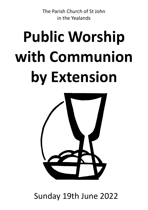The Parish Church of St John in the Yealands

# **Public Worship with Communion by Extension**



Sunday 19th June 2022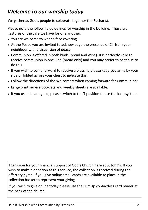# *Welcome to our worship today*

We gather as God's people to celebrate together the Eucharist.

Please note the following guidelines for worship in the building. These are gestures of the care we have for one another.

- You are welcome to wear a face covering.
- At the Peace you are invited to acknowledge the presence of Christ in your neighbour with a visual sign of peace.
- Communion is offered in both kinds (bread and wine). It is perfectly valid to receive communion in one kind (bread only) and you may prefer to continue to do this.
- If you wish to come forward to receive a blessing please keep you arms by your side or folded across your chest to indicate this.
- Follow the directions of the Welcomers when coming forward for Communion;
- Large print service booklets and weekly sheets are available.
- If you use a hearing aid, please switch to the T position to use the loop system.

Thank you for your financial support of God's Church here at St John's. If you wish to make a donation at this service, the collection is received during the offertory hymn. If you give online small cards are available to place in the collection basket to represent your giving.

If you wish to give online today please use the SumUp contactless card reader at the back of the church.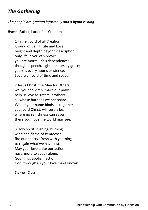## *The Gathering*

*The people are greeted informally and a hymn is sung.*

**Hymn** Father, Lord of all Creation

1 Father, Lord of all Creation, ground of Being, Life and Love; height and depth beyond description only life in you can prove: you are mortal life's dependence: thought, speech, sight are ours by grace; yours is every hour's existence, Sovereign Lord of time and space.

2 Jesus Christ, the Man for Others, we, your children, make our prayer: help us love as sisters, brothers all whose burdens we can share. Where your name binds us together you, Lord Christ, will surely be; where no selfishness can sever there your love the world may see.

3 Holy Spirit, rushing, burning wind and flame of Pentecost, fire our hearts afresh with yearning to regain what we have lost. May your love unite our action, nevermore to speak alone: God, in us abolish faction, God, through us your love make known.

*Stewart Cross*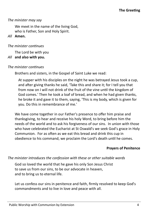## *The minister may say*

We meet in the name of the living God, who is Father, Son and Holy Spirit.

### *All* **Amen.**

## *The minister continues*

The Lord be with you

## *All* **and also with you.**

## *The minister continues*

Brothers and sisters, in the Gospel of Saint Luke we read:

At supper with his disciples on the night he was betrayed Jesus took a cup, and after giving thanks he said, 'Take this and share it; for I tell you that from now on I will not drink of the fruit of the vine until the kingdom of God comes.' Then he took a loaf of bread, and when he had given thanks, he broke it and gave it to them, saying, 'This is my body, which is given for you. Do this in remembrance of me.'

We have come together in our Father's presence to offer him praise and thanksgiving, to hear and receive his holy Word, to bring before him the needs of the world and to ask his forgiveness of our sins. In union with those who have celebrated the Eucharist at St Oswald's we seek God's grace in Holy Communion. For as often as we eat this bread and drink this cup in obedience to his command, we proclaim the Lord's death until he comes.

## **Prayers of Penitence**

## *The minister introduces the confession with these or other suitable words*

God so loved the world that he gave his only Son Jesus Christ to save us from our sins, to be our advocate in heaven, and to bring us to eternal life.

Let us confess our sins in penitence and faith, firmly resolved to keep God's commandments and to live in love and peace with all.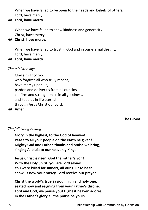When we have failed to be open to the needs and beliefs of others. Lord, have mercy.

## *All* **Lord, have mercy.**

When we have failed to show kindness and generosity. Christ, have mercy.

## *All* **Christ, have mercy.**

When we have failed to trust in God and in our eternal destiny. Lord, have mercy.

#### *All* **Lord, have mercy.**

## *The minister says*

May almighty God, who forgives all who truly repent, have mercy upon us, pardon and deliver us from all our sins, confirm and strengthen us in all goodness, and keep us in life eternal; through Jesus Christ our Lord.

*All* **Amen.**

**The Gloria**

#### *The following is sung*

**Glory in the highest, to the God of heaven! Peace to all your people on the earth be given! Mighty God and Father, thanks and praise we bring, singing Alleluia to our heavenly King.** 

**Jesus Christ is risen, God the Father's Son! With the Holy Spirit, you are Lord alone! You were killed for sinners, all our guilt to bear, show us now your mercy, Lord receive our prayer.** 

**Christ the world's true Saviour, high and holy one, seated now and reigning from your Father's throne, Lord and God, we praise you! Highest heaven adores, in the Father's glory all the praise be yours.**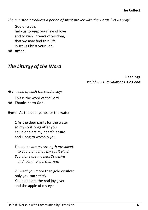*The minister introduces a period of silent prayer with the words 'Let us pray'.* 

God of truth, help us to keep your law of love and to walk in ways of wisdom, that we may find true life in Jesus Christ your Son.

*All* **Amen.**

## *The Liturgy of the Word*

#### **Readings**

*Isaiah 65.1-9; Galatians 3.23-end*

## *At the end of each the reader says*

This is the word of the Lord.

## *All* **Thanks be to God.**

**Hymn** As the deer pants for the water

1 As the deer pants for the water so my soul longs after you. You alone are my heart's desire and I long to worship you.

*You alone are my strength my shield. to you alone may my spirit yield. You alone are my heart's desire and I long to worship you*.

2 I want you more than gold or silver only you can satisfy You alone are the real joy giver and the apple of my eye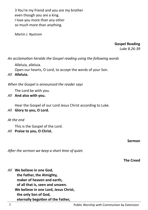3 You're my friend and you are my brother even though you are a king. I love you more than any other so much more than anything.

*Martin J. Nystrom*

**Gospel Reading**

*Luke 8.26-39*

*An acclamation heralds the Gospel reading using the following words*

Alleluia, alleluia.

Open our hearts, O Lord, to accept the words of your Son.

*All* **Alleluia.**

*When the Gospel is announced the reader says*

The Lord be with you.

*All* **And also with you.**

Hear the Gospel of our Lord Jesus Christ according to Luke.

*All* **Glory to you, O Lord.**

*At the end*

This is the Gospel of the Lord.

*All* **Praise to you, O Christ.**

*After the sermon we keep a short time of quiet.* 

**The Creed**

**Sermon**

*All* **We believe in one God, the Father, the Almighty, maker of heaven and earth, of all that is, seen and unseen. We believe in one Lord, Jesus Christ, the only Son of God, eternally begotten of the Father,**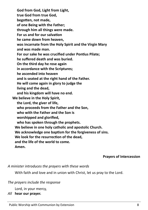**God from God, Light from Light, true God from true God, begotten, not made, of one Being with the Father; through him all things were made. For us and for our salvation he came down from heaven, was incarnate from the Holy Spirit and the Virgin Mary and was made man. For our sake he was crucified under Pontius Pilate; he suffered death and was buried. On the third day he rose again in accordance with the Scriptures; he ascended into heaven and is seated at the right hand of the Father. He will come again in glory to judge the living and the dead, and his kingdom will have no end. We believe in the Holy Spirit, the Lord, the giver of life, who proceeds from the Father and the Son, who with the Father and the Son is worshipped and glorified, who has spoken through the prophets. We believe in one holy catholic and apostolic Church. We acknowledge one baptism for the forgiveness of sins. We look for the resurrection of the dead, and the life of the world to come. Amen.**

#### **Prayers of Intercession**

#### *A minister introduces the prayers with these words*

With faith and love and in union with Christ, let us pray to the Lord.

*The prayers include the response*

Lord, in your mercy,

*All* **hear our prayer.**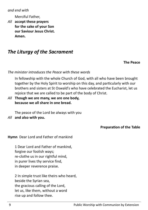*and end with*

Merciful Father,

*All* **accept these prayers for the sake of your Son our Saviour Jesus Christ. Amen.**

# *The Liturgy of the Sacrament*

**The Peace**

## *The minister introduces the Peace with these words*

In fellowship with the whole Church of God, with all who have been brought together by the Holy Spirit to worship on this day, and particularly with our brothers and sisters at St Oswald's who have celebrated the Eucharist, let us rejoice that we are called to be part of the body of Christ.

*All* **Though we are many, we are one body, because we all share in one bread.** 

The peace of the Lord be always with you

*All* **and also with you.**

**Preparation of the Table**

**Hymn** Dear Lord and Father of mankind

1 Dear Lord and Father of mankind, forgive our foolish ways; re-clothe us in our rightful mind, in purer lives thy service find, in deeper reverence praise.

2 In simple trust like theirs who heard, beside the Syrian sea, the gracious calling of the Lord, let us, like them, without a word rise up and follow thee.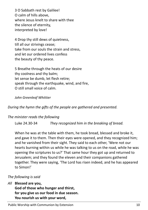3 O Sabbath rest by Galilee! O calm of hills above, where Jesus knelt to share with thee the silence of eternity, interpreted by love!

4 Drop thy still dews of quietness, till all our strivings cease; take from our souls the strain and stress, and let our ordered lives confess the beauty of thy peace.

5 Breathe through the heats of our desire thy coolness and thy balm; let sense be dumb, let flesh retire; speak through the earthquake, wind, and fire, O still small voice of calm.

*John Greenleaf Whittier*

*During the hymn the gifts of the people are gathered and presented.*

## *The minister reads the following*

Luke 24.30-34 *They recognized him in the breaking of bread.* 

When he was at the table with them, he took bread, blessed and broke it, and gave it to them. Then their eyes were opened, and they recognized him; and he vanished from their sight. They said to each other, 'Were not our hearts burning within us while he was talking to us on the road, while he was opening the scriptures to us?' That same hour they got up and returned to Jerusalem; and they found the eleven and their companions gathered together. They were saying, 'The Lord has risen indeed, and he has appeared to Simon!'

## *The following is said*

*All* **Blessed are you,** 

**God of those who hunger and thirst, for you give us our food in due season. You nourish us with your word,**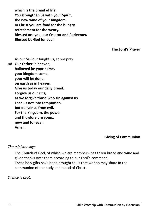**which is the bread of life. You strengthen us with your Spirit, the new wine of your Kingdom. In Christ you are food for the hungry, refreshment for the weary. Blessed are you, our Creator and Redeemer. Blessed be God for ever.** 

**The Lord's Prayer**

As our Saviour taught us, so we pray

*All* **Our Father in heaven, hallowed be your name, your kingdom come, your will be done, on earth as in heaven. Give us today our daily bread. Forgive us our sins, as we forgive those who sin against us. Lead us not into temptation, but deliver us from evil. For the kingdom, the power and the glory are yours, now and for ever. Amen.**

**Giving of Communion** 

*The minister says*

The Church of God, of which we are members, has taken bread and wine and given thanks over them according to our Lord's command. These holy gifts have been brought to us that we too may share in the communion of the body and blood of Christ.

*Silence is kept.*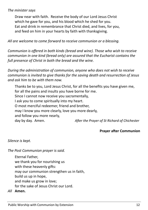## *The minister says*

Draw near with faith. Receive the body of our Lord Jesus Christ which he gave for you, and his blood which he shed for you. Eat and drink in remembrance that Christ died, and lives, for you, and feed on him in your hearts by faith with thanksgiving.

*All are welcome to come forward to receive communion or a blessing.* 

*Communion is offered in both kinds (bread and wine). Those who wish to receive communion in one kind (bread only) are assured that the Eucharist contains the full presence of Christ in both the bread and the wine.*

*During the administration of communion, anyone who does not wish to receive communion is invited to give thanks for the saving death and resurrection of Jesus and ask him to be with them now.* 

Thanks be to you, Lord Jesus Christ, for all the benefits you have given me, for all the pains and insults you have borne for me. Since I cannot now receive you sacramentally, I ask you to come spiritually into my heart. O most merciful redeemer, friend and brother, may I know you more clearly, love you more dearly, and follow you more nearly, day by day. Amen. *After the Prayer of St Richard of Chichester*

## **Prayer after Communion**

*Silence is kept.*

*The Post Communion prayer is said.*

Eternal Father, we thank you for nourishing us with these heavenly gifts: may our communion strengthen us in faith, build us up in hope, and make us grow in love; for the sake of Jesus Christ our Lord.

*All* **Amen.**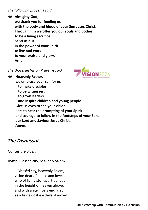*The following prayer is said*

*All* **Almighty God,**

**we thank you for feeding us with the body and blood of your Son Jesus Christ. Through him we offer you our souls and bodies to be a living sacrifice. Send us out in the power of your Spirit to live and work to your praise and glory. Amen.**

*The Diocesan Vision Prayer is said*



*All* **Heavenly Father,** 

**we embrace your call for us to make disciples, to be witnesses, to grow leaders and inspire children and young people. Give us eyes to see your vision, ears to hear the prompting of your Spirit and courage to follow in the footsteps of your Son, our Lord and Saviour Jesus Christ. Amen.** 

# *The Dismissal*

*Notices are given.*

**Hymn** Blessèd city, heavenly Salem

1 Blessèd city, heavenly Salem, vision dear of peace and love, who of living stones art builded in the height of heaven above, and with angel hosts encircled, as a bride dost earthward move!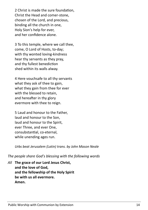2 Christ is made the sure foundation, Christ the Head and comer-stone, chosen of the Lord, and precious, binding all the church in one, Holy Sion's help for ever, and her confidence alone.

3 To this temple, where we call thee, come, O Lord of Hosts, to-day; with thy wonted loving-kindness hear thy servants as they pray, and thy fullest benediction shed within its walls alway.

4 Here vouchsafe to all thy servants what they ask of thee to gain, what they gain from thee for ever with the blessed to retain, and hereafter in thy glory evermore with thee to reign.

5 Laud and honour to the Father, laud and honour to the Son, laud and honour to the Spirit, ever Three, and ever One, consubstantial, co-eternal, while unending ages run.

*Urbs beat Jerusalem (Latin) trans. by John Mason Neale*

*The people share God's blessing with the following words*

*All* **The grace of our Lord Jesus Christ, and the love of God, and the fellowship of the Holy Spirit be with us all evermore. Amen.**